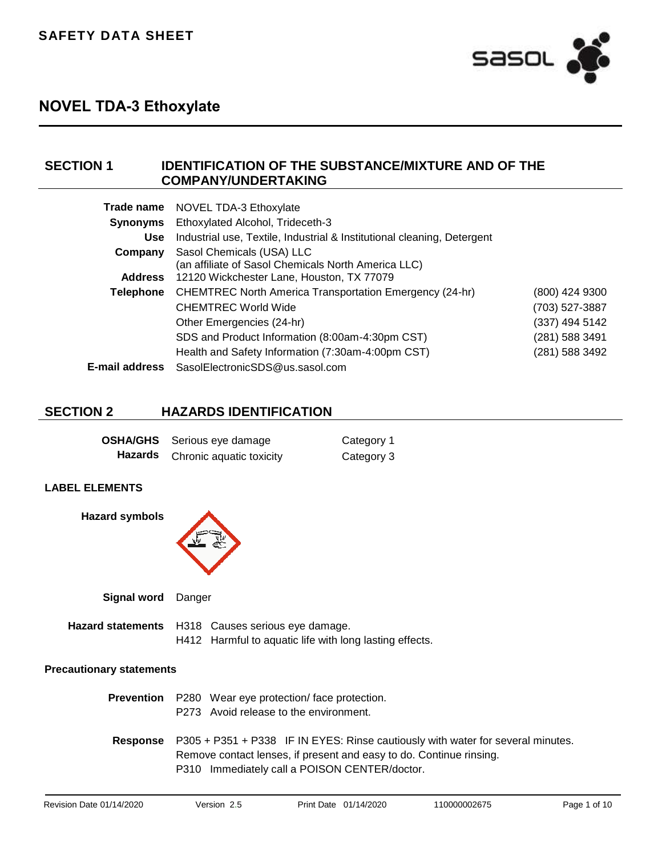

## **SECTION 1 IDENTIFICATION OF THE SUBSTANCE/MIXTURE AND OF THE COMPANY/UNDERTAKING**

|                 | Trade name NOVEL TDA-3 Ethoxylate                                                |                |
|-----------------|----------------------------------------------------------------------------------|----------------|
| <b>Synonyms</b> | Ethoxylated Alcohol, Trideceth-3                                                 |                |
| <b>Use</b>      | Industrial use, Textile, Industrial & Institutional cleaning, Detergent          |                |
| Company         | Sasol Chemicals (USA) LLC<br>(an affiliate of Sasol Chemicals North America LLC) |                |
| <b>Address</b>  | 12120 Wickchester Lane, Houston, TX 77079                                        |                |
| Telephone       | <b>CHEMTREC North America Transportation Emergency (24-hr)</b>                   | (800) 424 9300 |
|                 | <b>CHEMTREC World Wide</b>                                                       | (703) 527-3887 |
|                 | Other Emergencies (24-hr)                                                        | (337) 494 5142 |
|                 | SDS and Product Information (8:00am-4:30pm CST)                                  | (281) 588 3491 |
|                 | Health and Safety Information (7:30am-4:00pm CST)                                | (281) 588 3492 |
| E-mail address  | SasolElectronicSDS@us.sasol.com                                                  |                |
|                 |                                                                                  |                |

## **SECTION 2 HAZARDS IDENTIFICATION**

|         | <b>OSHA/GHS</b> Serious eye damage | Category 1 |
|---------|------------------------------------|------------|
| Hazards | Chronic aquatic toxicity           | Category 3 |

### **LABEL ELEMENTS**

**Hazard symbols**

**Signal word** Danger

|  | <b>Hazard statements</b> H318 Causes serious eye damage. |
|--|----------------------------------------------------------|
|  | H412 Harmful to aquatic life with long lasting effects.  |

#### **Precautionary statements**

| <b>Prevention</b> P280 Wear eye protection/face protection.<br>P273 Avoid release to the environment.                                                                                                                   |
|-------------------------------------------------------------------------------------------------------------------------------------------------------------------------------------------------------------------------|
| <b>Response</b> P305 + P351 + P338 IF IN EYES: Rinse cautiously with water for several minutes.<br>Remove contact lenses, if present and easy to do. Continue rinsing.<br>P310 Immediately call a POISON CENTER/doctor. |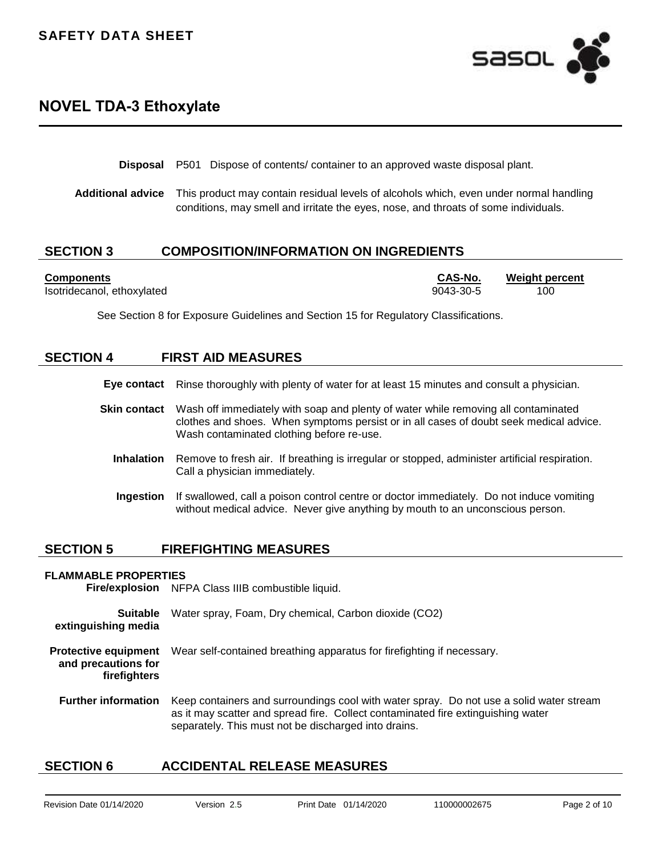

**Disposal** P501 Dispose of contents/ container to an approved waste disposal plant.

**Additional advice** This product may contain residual levels of alcohols which, even under normal handling conditions, may smell and irritate the eyes, nose, and throats of some individuals.

### **SECTION 3 COMPOSITION/INFORMATION ON INGREDIENTS**

Isotridecanol, ethoxylated 9043-30-5 100

**Components CAS-No. Weight percent**

See Section 8 for Exposure Guidelines and Section 15 for Regulatory Classifications.

### **SECTION 4 FIRST AID MEASURES**

|  |  | Eye contact Rinse thoroughly with plenty of water for at least 15 minutes and consult a physician. |  |
|--|--|----------------------------------------------------------------------------------------------------|--|
|--|--|----------------------------------------------------------------------------------------------------|--|

- **Skin contact** Wash off immediately with soap and plenty of water while removing all contaminated clothes and shoes. When symptoms persist or in all cases of doubt seek medical advice. Wash contaminated clothing before re-use.
	- **Inhalation** Remove to fresh air. If breathing is irregular or stopped, administer artificial respiration. Call a physician immediately.
	- **Ingestion** If swallowed, call a poison control centre or doctor immediately. Do not induce vomiting without medical advice. Never give anything by mouth to an unconscious person.

### **SECTION 5 FIREFIGHTING MEASURES**

#### **FLAMMABLE PROPERTIES**

**Fire/explosion** NFPA Class IIIB combustible liquid.

**Suitable extinguishing media** Water spray, Foam, Dry chemical, Carbon dioxide (CO2) **Protective equipment and precautions for firefighters** Wear self-contained breathing apparatus for firefighting if necessary.

**Further information** Keep containers and surroundings cool with water spray. Do not use a solid water stream as it may scatter and spread fire. Collect contaminated fire extinguishing water separately. This must not be discharged into drains.

### **SECTION 6 ACCIDENTAL RELEASE MEASURES**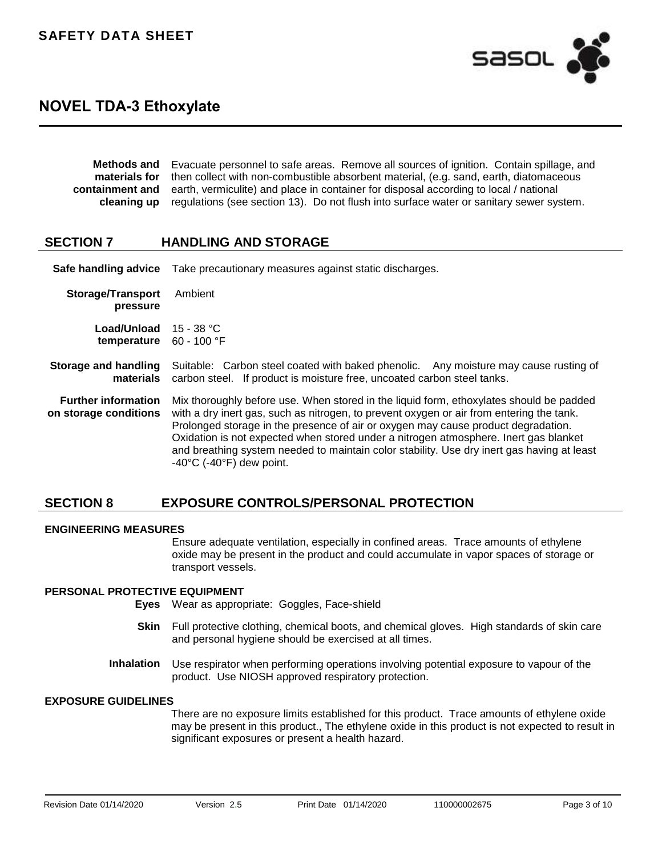

| Methods and Evacuate personnel to safe areas. Remove all sources of ignition. Contain spillage, and          |  |
|--------------------------------------------------------------------------------------------------------------|--|
| <b>materials for</b> then collect with non-combustible absorbent material, (e.g. sand, earth, diatomaceous   |  |
| <b>containment and</b> earth, vermiculite) and place in container for disposal according to local / national |  |
| cleaning up regulations (see section 13). Do not flush into surface water or sanitary sewer system.          |  |

### **SECTION 7 HANDLING AND STORAGE**

**Safe handling advice** Take precautionary measures against static discharges.

**Storage/Transport pressure** Ambient **Load/Unload**  15 - 38 °C **temperature** 60 - 100 °F

#### **Storage and handling materials** Suitable: Carbon steel coated with baked phenolic.Any moisture may cause rusting of carbon steel.If product is moisture free, uncoated carbon steel tanks.

**Further information on storage conditions** Mix thoroughly before use. When stored in the liquid form, ethoxylates should be padded with a dry inert gas, such as nitrogen, to prevent oxygen or air from entering the tank. Prolonged storage in the presence of air or oxygen may cause product degradation. Oxidation is not expected when stored under a nitrogen atmosphere. Inert gas blanket and breathing system needed to maintain color stability. Use dry inert gas having at least -40°C (-40°F) dew point.

## **SECTION 8 EXPOSURE CONTROLS/PERSONAL PROTECTION**

#### **ENGINEERING MEASURES**

Ensure adequate ventilation, especially in confined areas. Trace amounts of ethylene oxide may be present in the product and could accumulate in vapor spaces of storage or transport vessels.

#### **PERSONAL PROTECTIVE EQUIPMENT**

**Eyes** Wear as appropriate:Goggles, Face-shield

- **Skin** Full protective clothing, chemical boots, and chemical gloves.High standards of skin care and personal hygiene should be exercised at all times.
- **Inhalation** Use respirator when performing operations involving potential exposure to vapour of the product.Use NIOSH approved respiratory protection.

### **EXPOSURE GUIDELINES**

There are no exposure limits established for this product. Trace amounts of ethylene oxide may be present in this product., The ethylene oxide in this product is not expected to result in significant exposures or present a health hazard.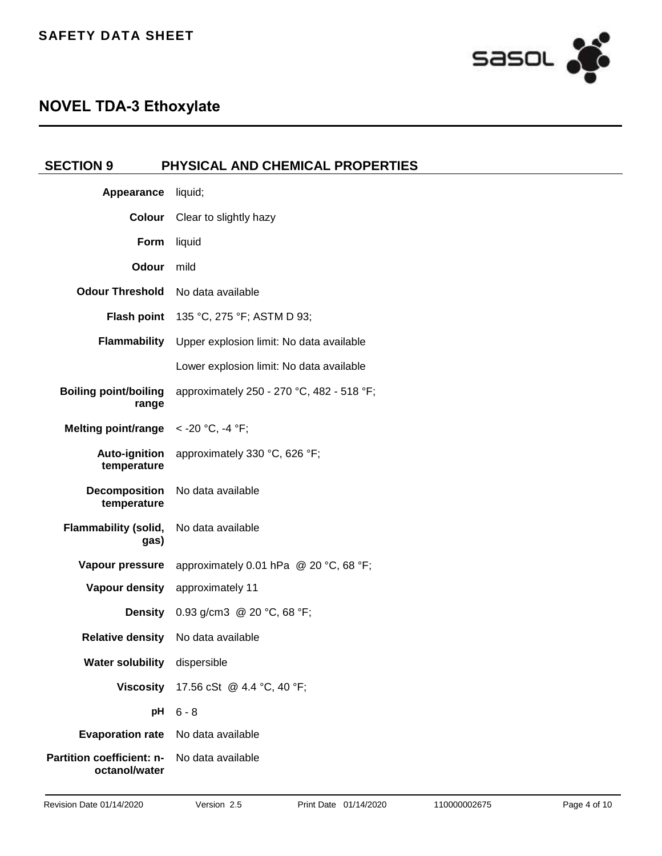

| <b>SECTION 9</b>                           | PHYSICAL AND CHEMICAL PROPERTIES                                |
|--------------------------------------------|-----------------------------------------------------------------|
| Appearance                                 | liquid;                                                         |
| <b>Colour</b>                              | Clear to slightly hazy                                          |
| Form                                       | liquid                                                          |
| <b>Odour</b>                               | mild                                                            |
| <b>Odour Threshold</b>                     | No data available                                               |
|                                            | <b>Flash point</b> 135 °C, 275 °F; ASTM D 93;                   |
|                                            | Flammability Upper explosion limit: No data available           |
|                                            | Lower explosion limit: No data available                        |
| <b>Boiling point/boiling</b><br>range      | approximately 250 - 270 °C, 482 - 518 °F;                       |
| Melting point/range $\leq$ -20 °C, -4 °F;  |                                                                 |
| Auto-ignition<br>temperature               | approximately 330 °C, 626 °F;                                   |
| <b>Decomposition</b><br>temperature        | No data available                                               |
| <b>Flammability (solid,</b><br>gas)        | No data available                                               |
|                                            | <b>Vapour pressure</b> approximately 0.01 hPa $@$ 20 °C, 68 °F; |
|                                            | Vapour density approximately 11                                 |
|                                            | <b>Density</b> 0.93 g/cm3 @ 20 °C, 68 °F;                       |
| <b>Relative density</b>                    | No data available                                               |
| Water solubility dispersible               |                                                                 |
|                                            | Viscosity 17.56 cSt @ 4.4 °C, 40 °F;                            |
| рH                                         | $6 - 8$                                                         |
| Evaporation rate No data available         |                                                                 |
| Partition coefficient: n-<br>octanol/water | No data available                                               |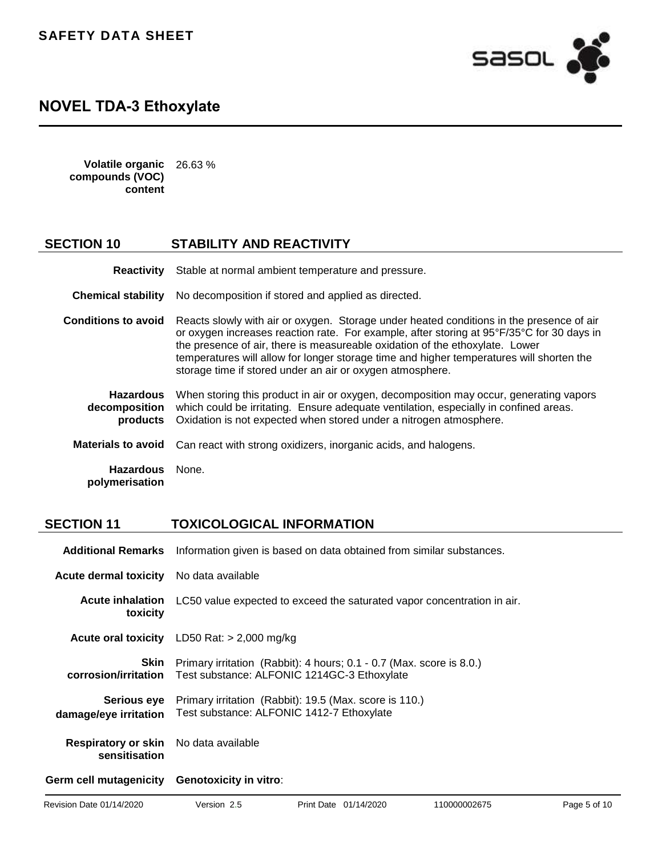## **SAFETY DATA SHEET**



## **NOVEL TDA-3 Ethoxylate**

**Volatile organic compounds (VOC) content** 26.63 %

### **SECTION 10 STABILITY AND REACTIVITY**

**Reactivity** Stable at normal ambient temperature and pressure.

**Chemical stability** No decomposition if stored and applied as directed.

**Conditions to avoid** Reacts slowly with air or oxygen.Storage under heated conditions in the presence of air or oxygen increases reaction rate.For example, after storing at 95°F/35°C for 30 days in the presence of air, there is measureable oxidation of the ethoxylate.Lower temperatures will allow for longer storage time and higher temperatures will shorten the storage time if stored under an air or oxygen atmosphere.

**Hazardous decomposition products** When storing this product in air or oxygen, decomposition may occur, generating vapors which could be irritating.Ensure adequate ventilation, especially in confined areas. Oxidation is not expected when stored under a nitrogen atmosphere.

**Materials to avoid** Can react with strong oxidizers, inorganic acids, and halogens.

**Hazardous polymerisation** None.

### **SECTION 11 TOXICOLOGICAL INFORMATION**

|                                                               | <b>Additional Remarks</b> Information given is based on data obtained from similar substances.                      |
|---------------------------------------------------------------|---------------------------------------------------------------------------------------------------------------------|
| <b>Acute dermal toxicity</b>                                  | No data available                                                                                                   |
| <b>Acute inhalation</b><br>toxicity                           | LC50 value expected to exceed the saturated vapor concentration in air.                                             |
|                                                               | <b>Acute oral toxicity</b> $LD50$ Rat: $> 2,000$ mg/kg                                                              |
| Skin<br>corrosion/irritation                                  | Primary irritation (Rabbit): 4 hours; 0.1 - 0.7 (Max. score is 8.0.)<br>Test substance: ALFONIC 1214GC-3 Ethoxylate |
| <b>Serious eve</b><br>damage/eye irritation                   | Primary irritation (Rabbit): 19.5 (Max. score is 110.)<br>Test substance: ALFONIC 1412-7 Ethoxylate                 |
| <b>Respiratory or skin</b> No data available<br>sensitisation |                                                                                                                     |
| Germ cell mutagenicity Genotoxicity in vitro:                 |                                                                                                                     |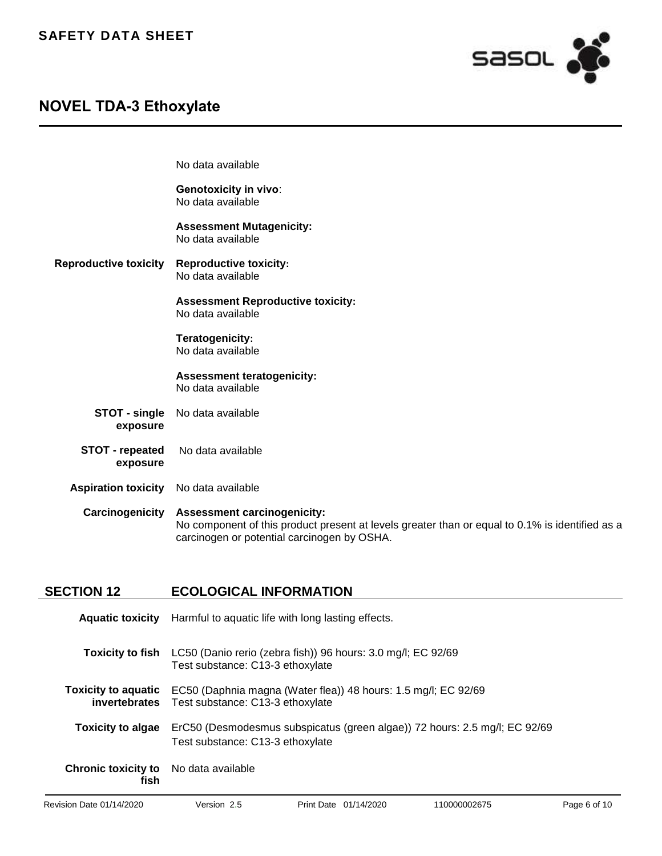

No data available

|                                    | <b>Genotoxicity in vivo:</b><br>No data available                                                                                                                                    |
|------------------------------------|--------------------------------------------------------------------------------------------------------------------------------------------------------------------------------------|
|                                    | <b>Assessment Mutagenicity:</b><br>No data available                                                                                                                                 |
| <b>Reproductive toxicity</b>       | <b>Reproductive toxicity:</b><br>No data available                                                                                                                                   |
|                                    | <b>Assessment Reproductive toxicity:</b><br>No data available                                                                                                                        |
|                                    | Teratogenicity:<br>No data available                                                                                                                                                 |
|                                    | <b>Assessment teratogenicity:</b><br>No data available                                                                                                                               |
| STOT - single<br>exposure          | No data available                                                                                                                                                                    |
| <b>STOT - repeated</b><br>exposure | No data available                                                                                                                                                                    |
| <b>Aspiration toxicity</b>         | No data available                                                                                                                                                                    |
| Carcinogenicity                    | <b>Assessment carcinogenicity:</b><br>No component of this product present at levels greater than or equal to 0.1% is identified as a<br>carcinogen or potential carcinogen by OSHA. |

## **SECTION 12 ECOLOGICAL INFORMATION**

|                                                      | Aquatic toxicity Harmful to aquatic life with long lasting effects.                                                                                |
|------------------------------------------------------|----------------------------------------------------------------------------------------------------------------------------------------------------|
|                                                      | <b>Toxicity to fish</b> LC50 (Danio rerio (zebra fish)) 96 hours: 3.0 mg/l; EC 92/69<br>Test substance: C13-3 ethoxylate                           |
|                                                      | <b>Toxicity to aquatic</b> EC50 (Daphnia magna (Water flea)) 48 hours: 1.5 mg/l; EC 92/69<br><b>invertebrates</b> Test substance: C13-3 ethoxylate |
| <b>Toxicity to algae</b>                             | ErC50 (Desmodesmus subspicatus (green algae)) 72 hours: 2.5 mg/l; EC 92/69<br>Test substance: C13-3 ethoxylate                                     |
| <b>Chronic toxicity to</b> No data available<br>fish |                                                                                                                                                    |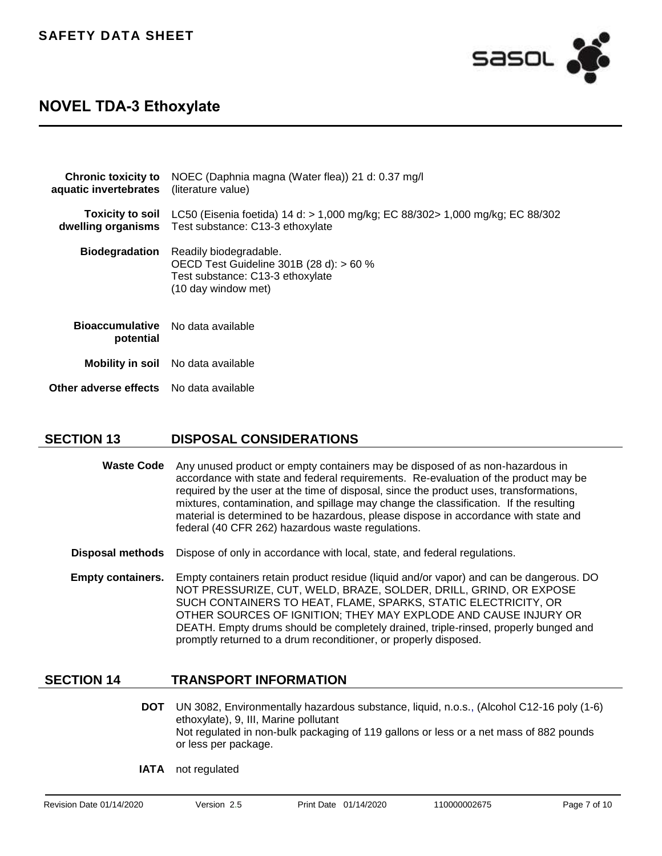

| <b>Chronic toxicity to</b><br>aquatic invertebrates   | NOEC (Daphnia magna (Water flea)) 21 d: 0.37 mg/l<br>(literature value)                                                                                           |
|-------------------------------------------------------|-------------------------------------------------------------------------------------------------------------------------------------------------------------------|
|                                                       | <b>Toxicity to soil</b> LC50 (Eisenia foetida) 14 d: $> 1,000$ mg/kg; EC 88/302 $> 1,000$ mg/kg; EC 88/302<br>dwelling organisms Test substance: C13-3 ethoxylate |
| <b>Biodegradation</b>                                 | Readily biodegradable.<br>OECD Test Guideline 301B (28 d): > 60 %<br>Test substance: C13-3 ethoxylate<br>(10 day window met)                                      |
| <b>Bioaccumulative</b> No data available<br>potential |                                                                                                                                                                   |
|                                                       | <b>Mobility in soil</b> No data available                                                                                                                         |
| <b>Other adverse effects</b> No data available        |                                                                                                                                                                   |

## **SECTION 13 DISPOSAL CONSIDERATIONS**

- **Waste Code** Any unused product or empty containers may be disposed of as non-hazardous in accordance with state and federal requirements.Re-evaluation of the product may be required by the user at the time of disposal, since the product uses, transformations, mixtures, contamination, and spillage may change the classification.If the resulting material is determined to be hazardous, please dispose in accordance with state and federal (40 CFR 262) hazardous waste regulations.
- **Disposal methods** Dispose of only in accordance with local, state, and federal regulations.
- **Empty containers.** Empty containers retain product residue (liquid and/or vapor) and can be dangerous. DO NOT PRESSURIZE, CUT, WELD, BRAZE, SOLDER, DRILL, GRIND, OR EXPOSE SUCH CONTAINERS TO HEAT, FLAME, SPARKS, STATIC ELECTRICITY, OR OTHER SOURCES OF IGNITION; THEY MAY EXPLODE AND CAUSE INJURY OR DEATH. Empty drums should be completely drained, triple-rinsed, properly bunged and promptly returned to a drum reconditioner, or properly disposed.

## **SECTION 14 TRANSPORT INFORMATION**

- **DOT** UN 3082, Environmentally hazardous substance, liquid, n.o.s., (Alcohol C12-16 poly (1-6) ethoxylate), 9, III, Marine pollutant Not regulated in non-bulk packaging of 119 gallons or less or a net mass of 882 pounds or less per package.
- **IATA** not regulated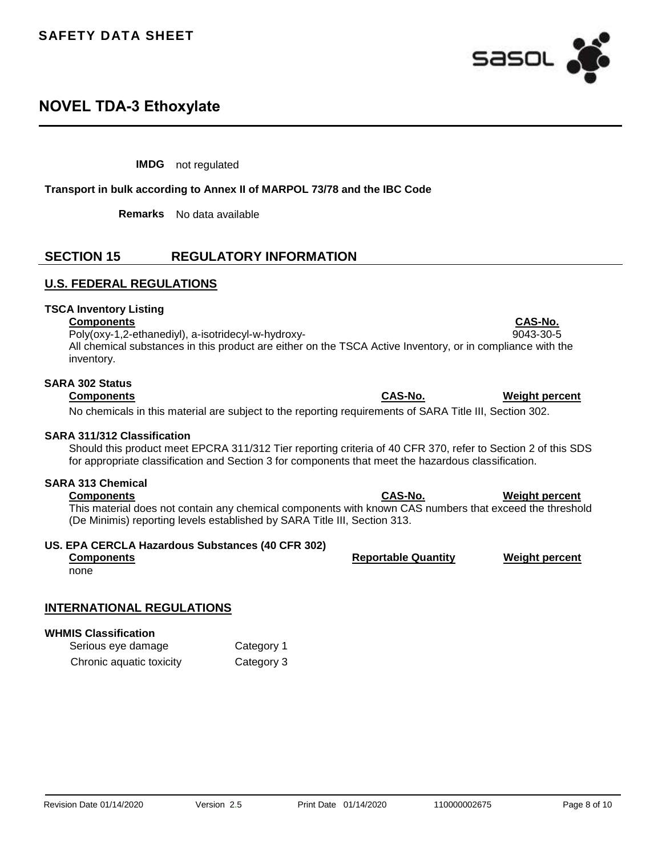

**IMDG** not regulated

**Transport in bulk according to Annex II of MARPOL 73/78 and the IBC Code**

**Remarks** No data available

## **SECTION 15 REGULATORY INFORMATION**

### **U.S. FEDERAL REGULATIONS**

#### **TSCA Inventory Listing**

#### **Components CAS-No.**

Poly(oxy-1,2-ethanediyl), a-isotridecyl-w-hydroxy- 9043-30-5 All chemical substances in this product are either on the TSCA Active Inventory, or in compliance with the inventory.

## **SARA 302 Status**

No chemicals in this material are subject to the reporting requirements of SARA Title III, Section 302.

### **SARA 311/312 Classification**

Should this product meet EPCRA 311/312 Tier reporting criteria of 40 CFR 370, refer to Section 2 of this SDS for appropriate classification and Section 3 for components that meet the hazardous classification.

### **SARA 313 Chemical**

#### **Components CAS-No. Weight percent**

This material does not contain any chemical components with known CAS numbers that exceed the threshold (De Minimis) reporting levels established by SARA Title III, Section 313.

### **US. EPA CERCLA Hazardous Substances (40 CFR 302)**

## **Components Reportable Quantity Weight percent**

none

### **INTERNATIONAL REGULATIONS**

#### **WHMIS Classification**

| Serious eye damage       | Category 1 |
|--------------------------|------------|
| Chronic aquatic toxicity | Category 3 |

**Components CAS-No. Weight percent**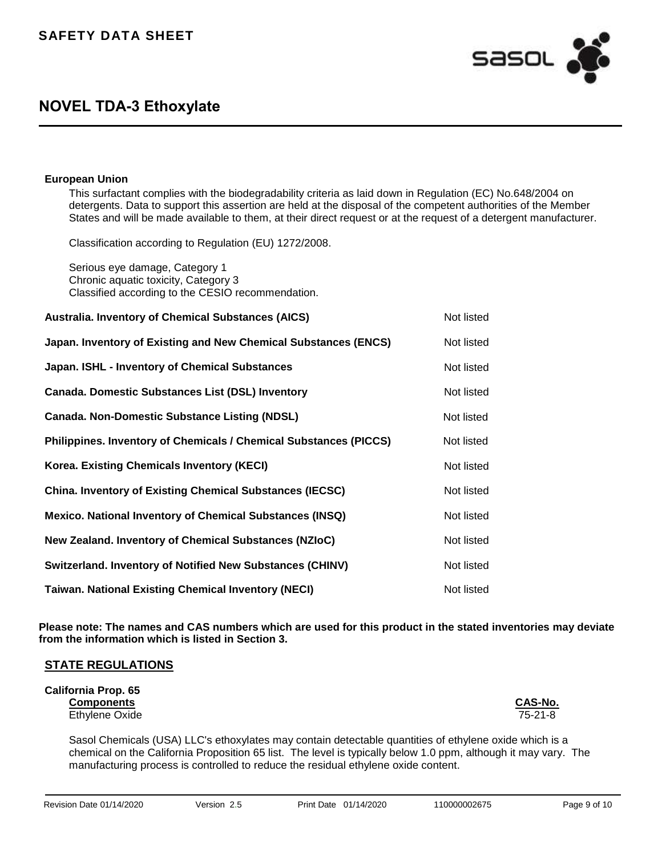This surfactant complies with the biodegradability criteria as laid down in Regulation (EC) No.648/2004 on detergents. Data to support this assertion are held at the disposal of the competent authorities of the Member States and will be made available to them, at their direct request or at the request of a detergent manufacturer.

Classification according to Regulation (EU) 1272/2008.

Serious eye damage, Category 1 Chronic aquatic toxicity, Category 3 Classified according to the CESIO recommendation.

| <b>Australia. Inventory of Chemical Substances (AICS)</b>         | Not listed |
|-------------------------------------------------------------------|------------|
| Japan. Inventory of Existing and New Chemical Substances (ENCS)   | Not listed |
| Japan. ISHL - Inventory of Chemical Substances                    | Not listed |
| <b>Canada. Domestic Substances List (DSL) Inventory</b>           | Not listed |
| <b>Canada. Non-Domestic Substance Listing (NDSL)</b>              | Not listed |
| Philippines. Inventory of Chemicals / Chemical Substances (PICCS) | Not listed |
| <b>Korea. Existing Chemicals Inventory (KECI)</b>                 | Not listed |
| <b>China. Inventory of Existing Chemical Substances (IECSC)</b>   | Not listed |
| <b>Mexico. National Inventory of Chemical Substances (INSQ)</b>   | Not listed |
| New Zealand. Inventory of Chemical Substances (NZIoC)             | Not listed |
| <b>Switzerland. Inventory of Notified New Substances (CHINV)</b>  | Not listed |
| <b>Taiwan. National Existing Chemical Inventory (NECI)</b>        | Not listed |

**Please note: The names and CAS numbers which are used for this product in the stated inventories may deviate from the information which is listed in Section 3.**

### **STATE REGULATIONS**

**California Prop. 65 Components CAS-No.** Ethylene Oxide

Sasol Chemicals (USA) LLC's ethoxylates may contain detectable quantities of ethylene oxide which is a chemical on the California Proposition 65 list. The level is typically below 1.0 ppm, although it may vary. The manufacturing process is controlled to reduce the residual ethylene oxide content.